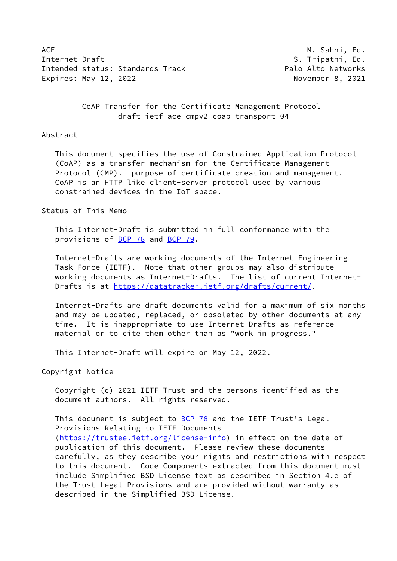ACE M. Sahni, Ed. Internet-Draft S. Tripathi, Ed. Intended status: Standards Track entitled and the Palo Alto Networks Expires: May 12, 2022 November 8, 2021

 CoAP Transfer for the Certificate Management Protocol draft-ietf-ace-cmpv2-coap-transport-04

#### Abstract

 This document specifies the use of Constrained Application Protocol (CoAP) as a transfer mechanism for the Certificate Management Protocol (CMP). purpose of certificate creation and management. CoAP is an HTTP like client-server protocol used by various constrained devices in the IoT space.

# Status of This Memo

 This Internet-Draft is submitted in full conformance with the provisions of [BCP 78](https://datatracker.ietf.org/doc/pdf/bcp78) and [BCP 79](https://datatracker.ietf.org/doc/pdf/bcp79).

 Internet-Drafts are working documents of the Internet Engineering Task Force (IETF). Note that other groups may also distribute working documents as Internet-Drafts. The list of current Internet- Drafts is at<https://datatracker.ietf.org/drafts/current/>.

 Internet-Drafts are draft documents valid for a maximum of six months and may be updated, replaced, or obsoleted by other documents at any time. It is inappropriate to use Internet-Drafts as reference material or to cite them other than as "work in progress."

This Internet-Draft will expire on May 12, 2022.

Copyright Notice

 Copyright (c) 2021 IETF Trust and the persons identified as the document authors. All rights reserved.

This document is subject to **[BCP 78](https://datatracker.ietf.org/doc/pdf/bcp78)** and the IETF Trust's Legal Provisions Relating to IETF Documents [\(https://trustee.ietf.org/license-info](https://trustee.ietf.org/license-info)) in effect on the date of publication of this document. Please review these documents carefully, as they describe your rights and restrictions with respect to this document. Code Components extracted from this document must include Simplified BSD License text as described in Section 4.e of the Trust Legal Provisions and are provided without warranty as described in the Simplified BSD License.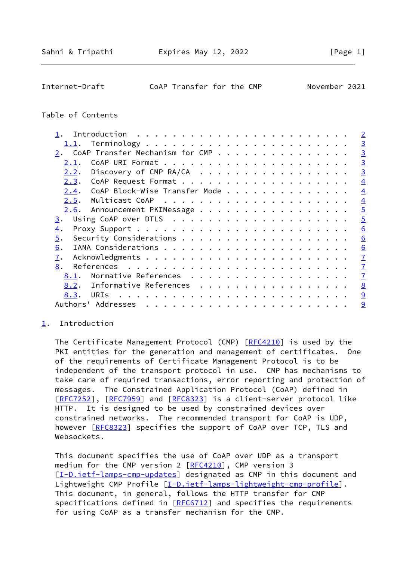<span id="page-1-1"></span>Internet-Draft CoAP Transfer for the CMP November 2021

# Table of Contents

| 1.1.<br>CoAP Transfer Mechanism for CMP       |
|-----------------------------------------------|
|                                               |
|                                               |
|                                               |
| 2.1.                                          |
| Discovery of CMP RA/CA<br>2.2.                |
| 2.3.                                          |
| CoAP Block-Wise Transfer Mode<br><u>2.4</u> . |
| 2.5.                                          |
| Announcement PKIMessage<br>2.6.               |
| 3.                                            |
| $\overline{4}$ .                              |
| 5.                                            |
| 6.                                            |
| 7.                                            |
| 8.                                            |
| Normative References<br>8.1.                  |
| Informative References<br><u>8.2.</u>         |
| URIs<br>8.3.                                  |
|                                               |

### <span id="page-1-0"></span>[1](#page-1-0). Introduction

 The Certificate Management Protocol (CMP) [[RFC4210](https://datatracker.ietf.org/doc/pdf/rfc4210)] is used by the PKI entities for the generation and management of certificates. One of the requirements of Certificate Management Protocol is to be independent of the transport protocol in use. CMP has mechanisms to take care of required transactions, error reporting and protection of messages. The Constrained Application Protocol (CoAP) defined in [\[RFC7252](https://datatracker.ietf.org/doc/pdf/rfc7252)], [[RFC7959\]](https://datatracker.ietf.org/doc/pdf/rfc7959) and [\[RFC8323](https://datatracker.ietf.org/doc/pdf/rfc8323)] is a client-server protocol like HTTP. It is designed to be used by constrained devices over constrained networks. The recommended transport for CoAP is UDP, however [\[RFC8323](https://datatracker.ietf.org/doc/pdf/rfc8323)] specifies the support of CoAP over TCP, TLS and Websockets.

 This document specifies the use of CoAP over UDP as a transport medium for the CMP version 2 [\[RFC4210](https://datatracker.ietf.org/doc/pdf/rfc4210)], CMP version 3 [\[I-D.ietf-lamps-cmp-updates\]](#page-8-1) designated as CMP in this document and Lightweight CMP Profile [\[I-D.ietf-lamps-lightweight-cmp-profile](#page-8-2)]. This document, in general, follows the HTTP transfer for CMP specifications defined in [[RFC6712](https://datatracker.ietf.org/doc/pdf/rfc6712)] and specifies the requirements for using CoAP as a transfer mechanism for the CMP.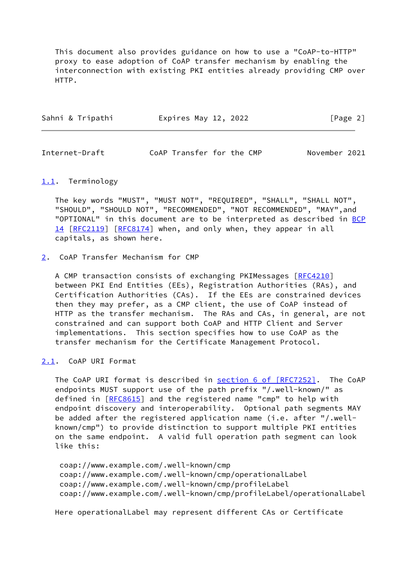This document also provides guidance on how to use a "CoAP-to-HTTP" proxy to ease adoption of CoAP transfer mechanism by enabling the interconnection with existing PKI entities already providing CMP over HTTP.

| Sahni & Tripathi | Expires May 12, 2022 | [Page 2] |
|------------------|----------------------|----------|
|------------------|----------------------|----------|

<span id="page-2-1"></span>Internet-Draft CoAP Transfer for the CMP November 2021

#### <span id="page-2-0"></span>[1.1](#page-2-0). Terminology

 The key words "MUST", "MUST NOT", "REQUIRED", "SHALL", "SHALL NOT", "SHOULD", "SHOULD NOT", "RECOMMENDED", "NOT RECOMMENDED", "MAY",and "OPTIONAL" in this document are to be interpreted as described in [BCP](https://datatracker.ietf.org/doc/pdf/bcp14) [14](https://datatracker.ietf.org/doc/pdf/bcp14) [[RFC2119\]](https://datatracker.ietf.org/doc/pdf/rfc2119) [\[RFC8174](https://datatracker.ietf.org/doc/pdf/rfc8174)] when, and only when, they appear in all capitals, as shown here.

# <span id="page-2-2"></span>[2](#page-2-2). CoAP Transfer Mechanism for CMP

 A CMP transaction consists of exchanging PKIMessages [\[RFC4210](https://datatracker.ietf.org/doc/pdf/rfc4210)] between PKI End Entities (EEs), Registration Authorities (RAs), and Certification Authorities (CAs). If the EEs are constrained devices then they may prefer, as a CMP client, the use of CoAP instead of HTTP as the transfer mechanism. The RAs and CAs, in general, are not constrained and can support both CoAP and HTTP Client and Server implementations. This section specifies how to use CoAP as the transfer mechanism for the Certificate Management Protocol.

# <span id="page-2-3"></span>[2.1](#page-2-3). CoAP URI Format

 The CoAP URI format is described in section [6 of \[RFC7252\]](https://datatracker.ietf.org/doc/pdf/rfc7252#section-6). The CoAP endpoints MUST support use of the path prefix "/.well-known/" as defined in [[RFC8615\]](https://datatracker.ietf.org/doc/pdf/rfc8615) and the registered name "cmp" to help with endpoint discovery and interoperability. Optional path segments MAY be added after the registered application name (i.e. after "/.well known/cmp") to provide distinction to support multiple PKI entities on the same endpoint. A valid full operation path segment can look like this:

 coap://www.example.com/.well-known/cmp coap://www.example.com/.well-known/cmp/operationalLabel coap://www.example.com/.well-known/cmp/profileLabel coap://www.example.com/.well-known/cmp/profileLabel/operationalLabel

Here operationalLabel may represent different CAs or Certificate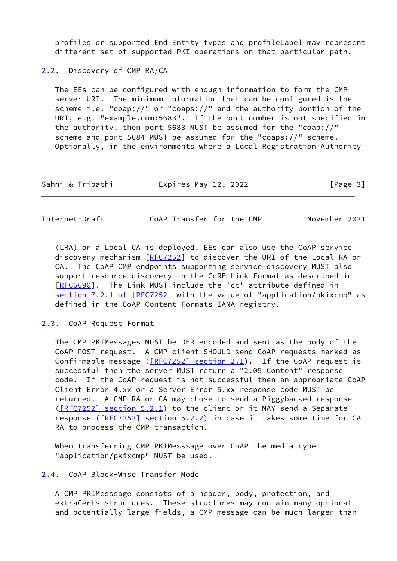profiles or supported End Entity types and profileLabel may represent different set of supported PKI operations on that particular path.

<span id="page-3-0"></span>[2.2](#page-3-0). Discovery of CMP RA/CA

 The EEs can be configured with enough information to form the CMP server URI. The minimum information that can be configured is the scheme i.e. "coap://" or "coaps://" and the authority portion of the URI, e.g. "example.com:5683". If the port number is not specified in the authority, then port 5683 MUST be assumed for the "coap://" scheme and port 5684 MUST be assumed for the "coaps://" scheme. Optionally, in the environments where a Local Registration Authority

| Sahni & Tripathi | Expires May 12, 2022 | [Page 3] |
|------------------|----------------------|----------|
|------------------|----------------------|----------|

<span id="page-3-2"></span>Internet-Draft CoAP Transfer for the CMP November 2021

 (LRA) or a Local CA is deployed, EEs can also use the CoAP service discovery mechanism [\[RFC7252](https://datatracker.ietf.org/doc/pdf/rfc7252)] to discover the URI of the Local RA or CA. The CoAP CMP endpoints supporting service discovery MUST also support resource discovery in the CoRE Link Format as described in [\[RFC6690](https://datatracker.ietf.org/doc/pdf/rfc6690)]. The Link MUST include the 'ct' attribute defined in section [7.2.1 of \[RFC7252\]](https://datatracker.ietf.org/doc/pdf/rfc7252#section-7.2.1) with the value of "application/pkixcmp" as defined in the CoAP Content-Formats IANA registry.

<span id="page-3-1"></span>[2.3](#page-3-1). CoAP Request Format

 The CMP PKIMessages MUST be DER encoded and sent as the body of the CoAP POST request. A CMP client SHOULD send CoAP requests marked as Confirmable message  $($  $[$ RFC7252] section 2.1). If the CoAP request is successful then the server MUST return a "2.05 Content" response code. If the CoAP request is not successful then an appropriate CoAP Client Error 4.xx or a Server Error 5.xx response code MUST be returned. A CMP RA or CA may chose to send a Piggybacked response [\(\[RFC7252\] section](https://datatracker.ietf.org/doc/pdf/rfc7252#section-5.2.1) 5.2.1) to the client or it MAY send a Separate response (*[RFC7252] section 5.2.2*) in case it takes some time for CA RA to process the CMP transaction.

 When transferring CMP PKIMesssage over CoAP the media type "application/pkixcmp" MUST be used.

<span id="page-3-3"></span>[2.4](#page-3-3). CoAP Block-Wise Transfer Mode

 A CMP PKIMesssage consists of a header, body, protection, and extraCerts structures. These structures may contain many optional and potentially large fields, a CMP message can be much larger than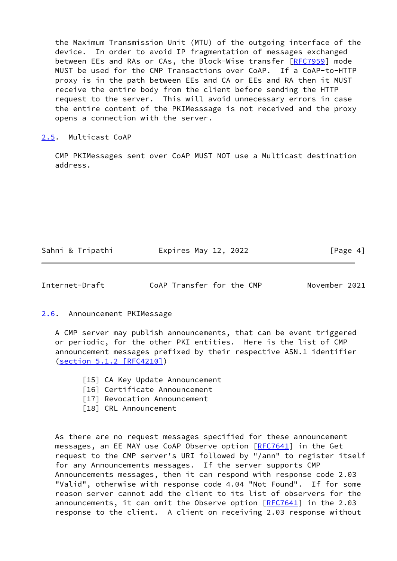the Maximum Transmission Unit (MTU) of the outgoing interface of the device. In order to avoid IP fragmentation of messages exchanged between EEs and RAs or CAs, the Block-Wise transfer [\[RFC7959](https://datatracker.ietf.org/doc/pdf/rfc7959)] mode MUST be used for the CMP Transactions over CoAP. If a CoAP-to-HTTP proxy is in the path between EEs and CA or EEs and RA then it MUST receive the entire body from the client before sending the HTTP request to the server. This will avoid unnecessary errors in case the entire content of the PKIMesssage is not received and the proxy opens a connection with the server.

# <span id="page-4-0"></span>[2.5](#page-4-0). Multicast CoAP

 CMP PKIMessages sent over CoAP MUST NOT use a Multicast destination address.

| Sahni & Tripathi | Expires May 12, 2022 | [Page 4] |
|------------------|----------------------|----------|
|                  |                      |          |

<span id="page-4-2"></span>

Internet-Draft CoAP Transfer for the CMP November 2021

<span id="page-4-1"></span>[2.6](#page-4-1). Announcement PKIMessage

 A CMP server may publish announcements, that can be event triggered or periodic, for the other PKI entities. Here is the list of CMP announcement messages prefixed by their respective ASN.1 identifier (section [5.1.2 \[RFC4210\]](https://datatracker.ietf.org/doc/pdf/rfc4210#section-5.1.2))

- [15] CA Key Update Announcement
- [16] Certificate Announcement
- [17] Revocation Announcement
- [18] CRL Announcement

 As there are no request messages specified for these announcement messages, an EE MAY use CoAP Observe option [\[RFC7641](https://datatracker.ietf.org/doc/pdf/rfc7641)] in the Get request to the CMP server's URI followed by "/ann" to register itself for any Announcements messages. If the server supports CMP Announcements messages, then it can respond with response code 2.03 "Valid", otherwise with response code 4.04 "Not Found". If for some reason server cannot add the client to its list of observers for the announcements, it can omit the Observe option [[RFC7641](https://datatracker.ietf.org/doc/pdf/rfc7641)] in the 2.03 response to the client. A client on receiving 2.03 response without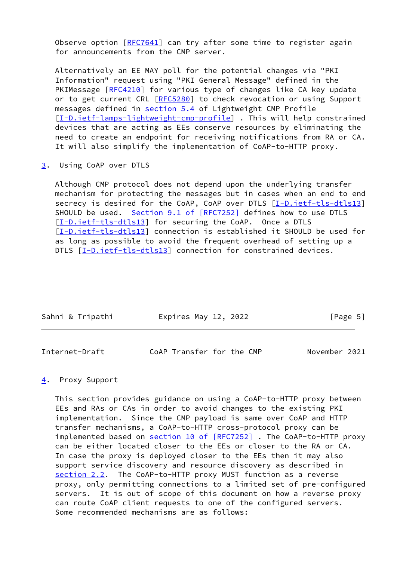Observe option  $[REC7641]$  can try after some time to register again for announcements from the CMP server.

 Alternatively an EE MAY poll for the potential changes via "PKI Information" request using "PKI General Message" defined in the PKIMessage [[RFC4210\]](https://datatracker.ietf.org/doc/pdf/rfc4210) for various type of changes like CA key update or to get current CRL [[RFC5280](https://datatracker.ietf.org/doc/pdf/rfc5280)] to check revocation or using Support messages defined in section 5.4 of Lightweight CMP Profile [\[I-D.ietf-lamps-lightweight-cmp-profile](#page-8-2)] . This will help constrained devices that are acting as EEs conserve resources by eliminating the need to create an endpoint for receiving notifications from RA or CA. It will also simplify the implementation of CoAP-to-HTTP proxy.

<span id="page-5-0"></span>[3](#page-5-0). Using CoAP over DTLS

 Although CMP protocol does not depend upon the underlying transfer mechanism for protecting the messages but in cases when an end to end secrecy is desired for the CoAP, CoAP over DTLS [\[I-D.ietf-tls-dtls13](#page-8-3)] SHOULD be used. Section [9.1 of \[RFC7252\]](https://datatracker.ietf.org/doc/pdf/rfc7252#section-9.1) defines how to use DTLS [\[I-D.ietf-tls-dtls13](#page-8-3)] for securing the CoAP. Once a DTLS [\[I-D.ietf-tls-dtls13](#page-8-3)] connection is established it SHOULD be used for as long as possible to avoid the frequent overhead of setting up a DTLS [\[I-D.ietf-tls-dtls13](#page-8-3)] connection for constrained devices.

| Sahni & Tripathi | Expires May 12, 2022 | [Page 5] |
|------------------|----------------------|----------|
|                  |                      |          |

<span id="page-5-2"></span>

| Internet-Draft |  | CoAP Transfer for the CMP |  |  |  | November 2021 |  |
|----------------|--|---------------------------|--|--|--|---------------|--|
|----------------|--|---------------------------|--|--|--|---------------|--|

# <span id="page-5-1"></span>[4](#page-5-1). Proxy Support

 This section provides guidance on using a CoAP-to-HTTP proxy between EEs and RAs or CAs in order to avoid changes to the existing PKI implementation. Since the CMP payload is same over CoAP and HTTP transfer mechanisms, a CoAP-to-HTTP cross-protocol proxy can be implemented based on section [10 of \[RFC7252\]](https://datatracker.ietf.org/doc/pdf/rfc7252#section-10). The CoAP-to-HTTP proxy can be either located closer to the EEs or closer to the RA or CA. In case the proxy is deployed closer to the EEs then it may also support service discovery and resource discovery as described in [section 2.2](#page-3-0). The CoAP-to-HTTP proxy MUST function as a reverse proxy, only permitting connections to a limited set of pre-configured servers. It is out of scope of this document on how a reverse proxy can route CoAP client requests to one of the configured servers. Some recommended mechanisms are as follows: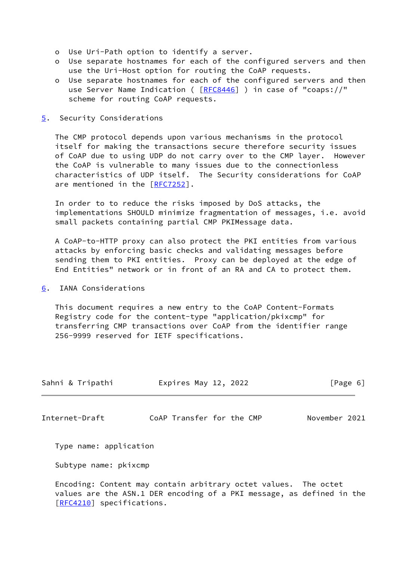- o Use Uri-Path option to identify a server.
- o Use separate hostnames for each of the configured servers and then use the Uri-Host option for routing the CoAP requests.
- o Use separate hostnames for each of the configured servers and then use Server Name Indication ( [\[RFC8446](https://datatracker.ietf.org/doc/pdf/rfc8446)] ) in case of "coaps://" scheme for routing CoAP requests.

#### <span id="page-6-0"></span>[5](#page-6-0). Security Considerations

 The CMP protocol depends upon various mechanisms in the protocol itself for making the transactions secure therefore security issues of CoAP due to using UDP do not carry over to the CMP layer. However the CoAP is vulnerable to many issues due to the connectionless characteristics of UDP itself. The Security considerations for CoAP are mentioned in the [\[RFC7252](https://datatracker.ietf.org/doc/pdf/rfc7252)].

 In order to to reduce the risks imposed by DoS attacks, the implementations SHOULD minimize fragmentation of messages, i.e. avoid small packets containing partial CMP PKIMessage data.

 A CoAP-to-HTTP proxy can also protect the PKI entities from various attacks by enforcing basic checks and validating messages before sending them to PKI entities. Proxy can be deployed at the edge of End Entities" network or in front of an RA and CA to protect them.

# <span id="page-6-1"></span>[6](#page-6-1). IANA Considerations

 This document requires a new entry to the CoAP Content-Formats Registry code for the content-type "application/pkixcmp" for transferring CMP transactions over CoAP from the identifier range 256-9999 reserved for IETF specifications.

| Sahni & Tripathi | Expires May 12, 2022 | [Page 6] |
|------------------|----------------------|----------|
|                  |                      |          |

<span id="page-6-2"></span>Internet-Draft CoAP Transfer for the CMP November 2021

Type name: application

Subtype name: pkixcmp

 Encoding: Content may contain arbitrary octet values. The octet values are the ASN.1 DER encoding of a PKI message, as defined in the [\[RFC4210](https://datatracker.ietf.org/doc/pdf/rfc4210)] specifications.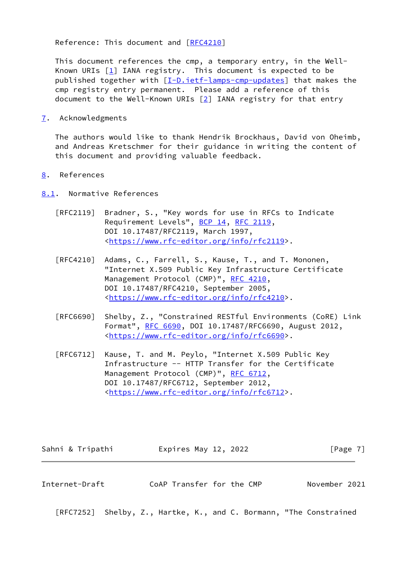Reference: This document and [\[RFC4210](https://datatracker.ietf.org/doc/pdf/rfc4210)]

 This document references the cmp, a temporary entry, in the Well- Known URIs  $[1]$  $[1]$  IANA registry. This document is expected to be published together with [\[I-D.ietf-lamps-cmp-updates\]](#page-8-1) that makes the cmp registry entry permanent. Please add a reference of this document to the Well-Known URIs [\[2](#page-9-3)] IANA registry for that entry

<span id="page-7-0"></span>[7](#page-7-0). Acknowledgments

 The authors would like to thank Hendrik Brockhaus, David von Oheimb, and Andreas Kretschmer for their guidance in writing the content of this document and providing valuable feedback.

<span id="page-7-1"></span>[8](#page-7-1). References

<span id="page-7-2"></span>[8.1](#page-7-2). Normative References

- [RFC2119] Bradner, S., "Key words for use in RFCs to Indicate Requirement Levels", [BCP 14](https://datatracker.ietf.org/doc/pdf/bcp14), [RFC 2119](https://datatracker.ietf.org/doc/pdf/rfc2119), DOI 10.17487/RFC2119, March 1997, <[https://www.rfc-editor.org/info/rfc2119>](https://www.rfc-editor.org/info/rfc2119).
- [RFC4210] Adams, C., Farrell, S., Kause, T., and T. Mononen, "Internet X.509 Public Key Infrastructure Certificate Management Protocol (CMP)", [RFC 4210,](https://datatracker.ietf.org/doc/pdf/rfc4210) DOI 10.17487/RFC4210, September 2005, <[https://www.rfc-editor.org/info/rfc4210>](https://www.rfc-editor.org/info/rfc4210).
- [RFC6690] Shelby, Z., "Constrained RESTful Environments (CoRE) Link Format", [RFC 6690,](https://datatracker.ietf.org/doc/pdf/rfc6690) DOI 10.17487/RFC6690, August 2012, <[https://www.rfc-editor.org/info/rfc6690>](https://www.rfc-editor.org/info/rfc6690).
- [RFC6712] Kause, T. and M. Peylo, "Internet X.509 Public Key Infrastructure -- HTTP Transfer for the Certificate Management Protocol (CMP)", [RFC 6712,](https://datatracker.ietf.org/doc/pdf/rfc6712) DOI 10.17487/RFC6712, September 2012, <[https://www.rfc-editor.org/info/rfc6712>](https://www.rfc-editor.org/info/rfc6712).

| Sahni & Tripathi<br>Expires May 12, 2022 |  | [Page 7] |
|------------------------------------------|--|----------|
|------------------------------------------|--|----------|

<span id="page-7-3"></span>Internet-Draft CoAP Transfer for the CMP November 2021

[RFC7252] Shelby, Z., Hartke, K., and C. Bormann, "The Constrained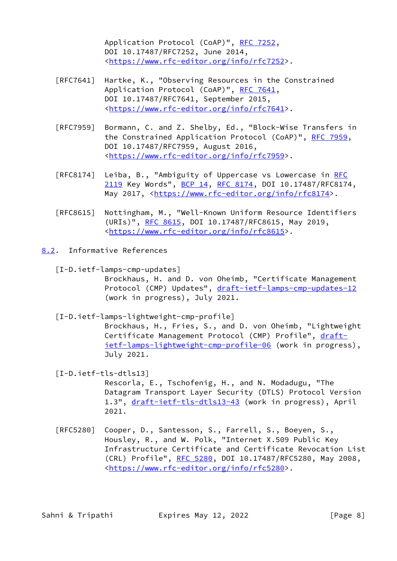Application Protocol (CoAP)", [RFC 7252](https://datatracker.ietf.org/doc/pdf/rfc7252), DOI 10.17487/RFC7252, June 2014, <[https://www.rfc-editor.org/info/rfc7252>](https://www.rfc-editor.org/info/rfc7252).

- [RFC7641] Hartke, K., "Observing Resources in the Constrained Application Protocol (CoAP)", [RFC 7641](https://datatracker.ietf.org/doc/pdf/rfc7641), DOI 10.17487/RFC7641, September 2015, <[https://www.rfc-editor.org/info/rfc7641>](https://www.rfc-editor.org/info/rfc7641).
- [RFC7959] Bormann, C. and Z. Shelby, Ed., "Block-Wise Transfers in the Constrained Application Protocol (CoAP)", [RFC 7959](https://datatracker.ietf.org/doc/pdf/rfc7959), DOI 10.17487/RFC7959, August 2016, <[https://www.rfc-editor.org/info/rfc7959>](https://www.rfc-editor.org/info/rfc7959).
- [RFC8174] Leiba, B., "Ambiguity of Uppercase vs Lowercase in [RFC](https://datatracker.ietf.org/doc/pdf/rfc2119) [2119](https://datatracker.ietf.org/doc/pdf/rfc2119) Key Words", [BCP 14](https://datatracker.ietf.org/doc/pdf/bcp14), [RFC 8174,](https://datatracker.ietf.org/doc/pdf/rfc8174) DOI 10.17487/RFC8174, May 2017, [<https://www.rfc-editor.org/info/rfc8174](https://www.rfc-editor.org/info/rfc8174)>.
- [RFC8615] Nottingham, M., "Well-Known Uniform Resource Identifiers (URIs)", [RFC 8615,](https://datatracker.ietf.org/doc/pdf/rfc8615) DOI 10.17487/RFC8615, May 2019, <[https://www.rfc-editor.org/info/rfc8615>](https://www.rfc-editor.org/info/rfc8615).
- <span id="page-8-3"></span><span id="page-8-2"></span><span id="page-8-1"></span><span id="page-8-0"></span>[8.2](#page-8-0). Informative References
	- [I-D.ietf-lamps-cmp-updates] Brockhaus, H. and D. von Oheimb, "Certificate Management Protocol (CMP) Updates", [draft-ietf-lamps-cmp-updates-12](https://datatracker.ietf.org/doc/pdf/draft-ietf-lamps-cmp-updates-12) (work in progress), July 2021.
	- [I-D.ietf-lamps-lightweight-cmp-profile]
		- Brockhaus, H., Fries, S., and D. von Oheimb, "Lightweight Certificate Management Protocol (CMP) Profile", [draft](https://datatracker.ietf.org/doc/pdf/draft-ietf-lamps-lightweight-cmp-profile-06) [ietf-lamps-lightweight-cmp-profile-06](https://datatracker.ietf.org/doc/pdf/draft-ietf-lamps-lightweight-cmp-profile-06) (work in progress), July 2021.
	- [I-D.ietf-tls-dtls13] Rescorla, E., Tschofenig, H., and N. Modadugu, "The Datagram Transport Layer Security (DTLS) Protocol Version 1.3", [draft-ietf-tls-dtls13-43](https://datatracker.ietf.org/doc/pdf/draft-ietf-tls-dtls13-43) (work in progress), April 2021.
	- [RFC5280] Cooper, D., Santesson, S., Farrell, S., Boeyen, S., Housley, R., and W. Polk, "Internet X.509 Public Key Infrastructure Certificate and Certificate Revocation List (CRL) Profile", [RFC 5280,](https://datatracker.ietf.org/doc/pdf/rfc5280) DOI 10.17487/RFC5280, May 2008, <[https://www.rfc-editor.org/info/rfc5280>](https://www.rfc-editor.org/info/rfc5280).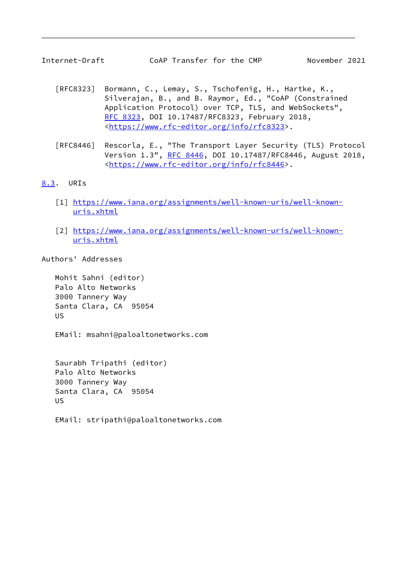- <span id="page-9-1"></span> [RFC8323] Bormann, C., Lemay, S., Tschofenig, H., Hartke, K., Silverajan, B., and B. Raymor, Ed., "CoAP (Constrained Application Protocol) over TCP, TLS, and WebSockets", [RFC 8323,](https://datatracker.ietf.org/doc/pdf/rfc8323) DOI 10.17487/RFC8323, February 2018, <[https://www.rfc-editor.org/info/rfc8323>](https://www.rfc-editor.org/info/rfc8323).
- [RFC8446] Rescorla, E., "The Transport Layer Security (TLS) Protocol Version 1.3", [RFC 8446](https://datatracker.ietf.org/doc/pdf/rfc8446), DOI 10.17487/RFC8446, August 2018, <[https://www.rfc-editor.org/info/rfc8446>](https://www.rfc-editor.org/info/rfc8446).

# <span id="page-9-0"></span>[8.3](#page-9-0). URIs

- <span id="page-9-2"></span>[1] [https://www.iana.org/assignments/well-known-uris/well-known](https://www.iana.org/assignments/well-known-uris/well-known-uris.xhtml) [uris.xhtml](https://www.iana.org/assignments/well-known-uris/well-known-uris.xhtml)
- <span id="page-9-3"></span> [2] [https://www.iana.org/assignments/well-known-uris/well-known](https://www.iana.org/assignments/well-known-uris/well-known-uris.xhtml) [uris.xhtml](https://www.iana.org/assignments/well-known-uris/well-known-uris.xhtml)

Authors' Addresses

 Mohit Sahni (editor) Palo Alto Networks 3000 Tannery Way Santa Clara, CA 95054 US

EMail: msahni@paloaltonetworks.com

 Saurabh Tripathi (editor) Palo Alto Networks 3000 Tannery Way Santa Clara, CA 95054 US

EMail: stripathi@paloaltonetworks.com